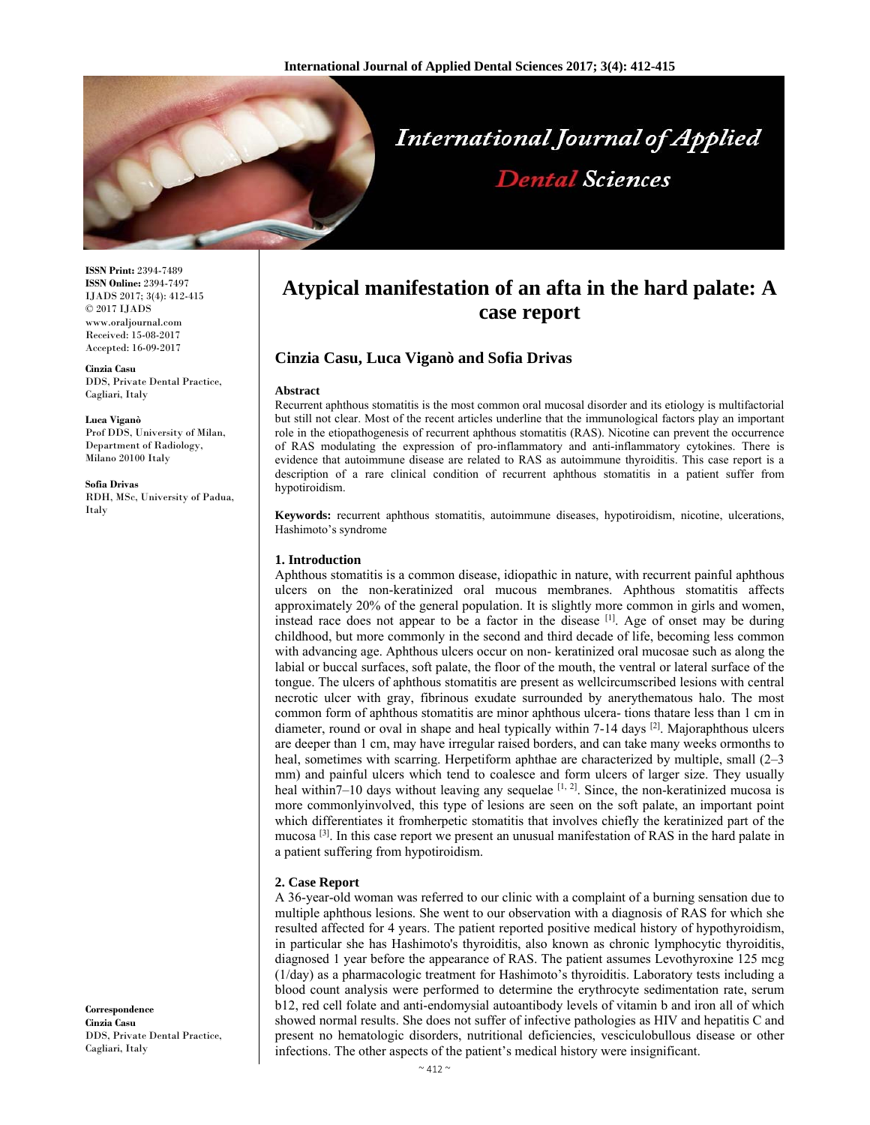

**ISSN Print:** 2394-7489 **ISSN Online:** 2394-7497 IJADS 2017; 3(4): 412-415 © 2017 IJADS www.oraljournal.com Received: 15-08-2017 Accepted: 16-09-2017

**Cinzia Casu**  DDS, Private Dental Practice, Cagliari, Italy

**Luca Viganò**  Prof DDS, University of Milan, Department of Radiology, Milano 20100 Italy

**Sofia Drivas**  RDH, MSc, University of Padua, Italy

**Correspondence Cinzia Casu**  DDS, Private Dental Practice, Cagliari, Italy

# **Atypical manifestation of an afta in the hard palate: A case report**

# **Cinzia Casu, Luca Viganò and Sofia Drivas**

#### **Abstract**

Recurrent aphthous stomatitis is the most common oral mucosal disorder and its etiology is multifactorial but still not clear. Most of the recent articles underline that the immunological factors play an important role in the etiopathogenesis of recurrent aphthous stomatitis (RAS). Nicotine can prevent the occurrence of RAS modulating the expression of pro-inflammatory and anti-inflammatory cytokines. There is evidence that autoimmune disease are related to RAS as autoimmune thyroiditis. This case report is a description of a rare clinical condition of recurrent aphthous stomatitis in a patient suffer from hypotiroidism.

**Keywords:** recurrent aphthous stomatitis, autoimmune diseases, hypotiroidism, nicotine, ulcerations, Hashimoto's syndrome

#### **1. Introduction**

Aphthous stomatitis is a common disease, idiopathic in nature, with recurrent painful aphthous ulcers on the non-keratinized oral mucous membranes. Aphthous stomatitis affects approximately 20% of the general population. It is slightly more common in girls and women, instead race does not appear to be a factor in the disease [1]. Age of onset may be during childhood, but more commonly in the second and third decade of life, becoming less common with advancing age. Aphthous ulcers occur on non- keratinized oral mucosae such as along the labial or buccal surfaces, soft palate, the floor of the mouth, the ventral or lateral surface of the tongue. The ulcers of aphthous stomatitis are present as wellcircumscribed lesions with central necrotic ulcer with gray, fibrinous exudate surrounded by anerythematous halo. The most common form of aphthous stomatitis are minor aphthous ulcera- tions thatare less than 1 cm in diameter, round or oval in shape and heal typically within 7-14 days <sup>[2]</sup>. Majoraphthous ulcers are deeper than 1 cm, may have irregular raised borders, and can take many weeks ormonths to heal, sometimes with scarring. Herpetiform aphthae are characterized by multiple, small (2–3) mm) and painful ulcers which tend to coalesce and form ulcers of larger size. They usually heal within7–10 days without leaving any sequelae  $[1, 2]$ . Since, the non-keratinized mucosa is more commonlyinvolved, this type of lesions are seen on the soft palate, an important point which differentiates it fromherpetic stomatitis that involves chiefly the keratinized part of the mucosa <sup>[3]</sup>. In this case report we present an unusual manifestation of RAS in the hard palate in a patient suffering from hypotiroidism.

### **2. Case Report**

A 36-year-old woman was referred to our clinic with a complaint of a burning sensation due to multiple aphthous lesions. She went to our observation with a diagnosis of RAS for which she resulted affected for 4 years. The patient reported positive medical history of hypothyroidism, in particular she has Hashimoto's thyroiditis, also known as chronic lymphocytic thyroiditis, diagnosed 1 year before the appearance of RAS. The patient assumes Levothyroxine 125 mcg (1/day) as a pharmacologic treatment for Hashimoto's thyroiditis. Laboratory tests including a blood count analysis were performed to determine the erythrocyte sedimentation rate, serum b12, red cell folate and anti-endomysial autoantibody levels of vitamin b and iron all of which showed normal results. She does not suffer of infective pathologies as HIV and hepatitis C and present no hematologic disorders, nutritional deficiencies, vesciculobullous disease or other infections. The other aspects of the patient's medical history were insignificant.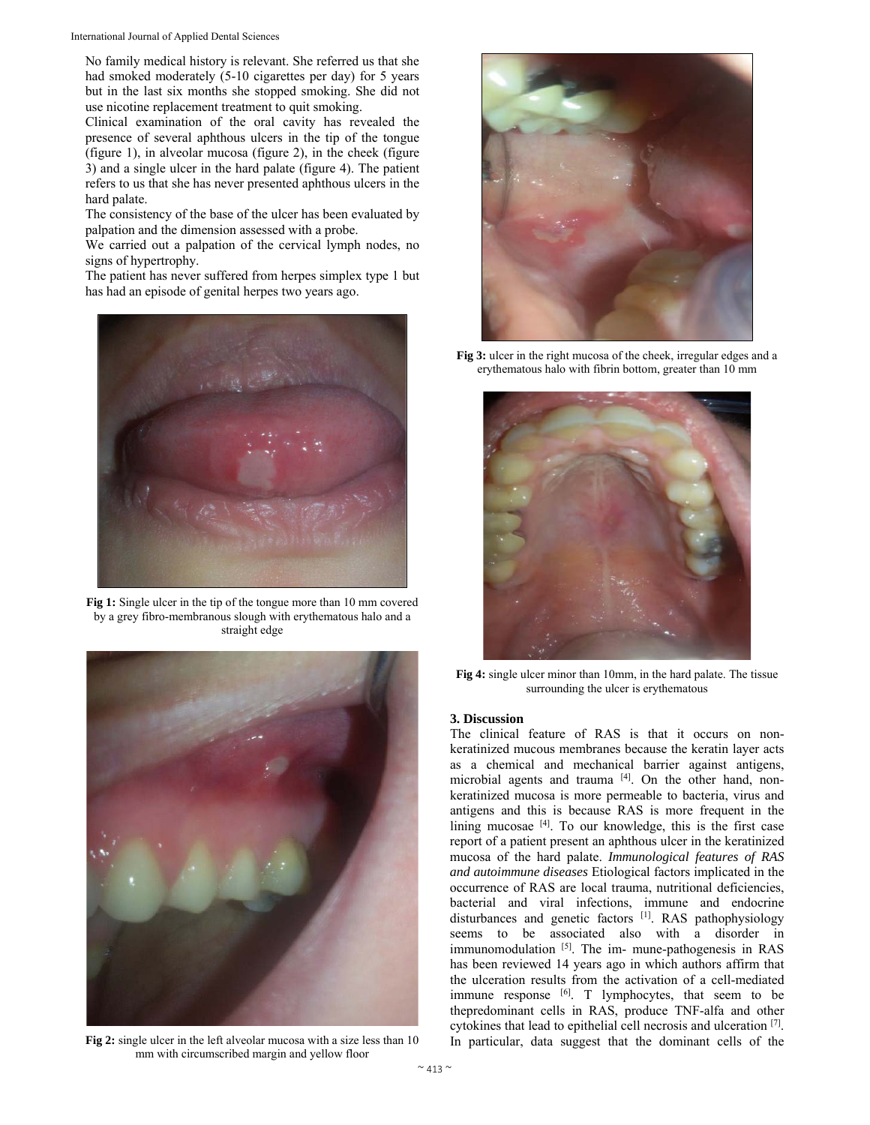International Journal of Applied Dental Sciences

No family medical history is relevant. She referred us that she had smoked moderately (5-10 cigarettes per day) for 5 years but in the last six months she stopped smoking. She did not use nicotine replacement treatment to quit smoking.

Clinical examination of the oral cavity has revealed the presence of several aphthous ulcers in the tip of the tongue (figure 1), in alveolar mucosa (figure 2), in the cheek (figure 3) and a single ulcer in the hard palate (figure 4). The patient refers to us that she has never presented aphthous ulcers in the hard palate.

The consistency of the base of the ulcer has been evaluated by palpation and the dimension assessed with a probe.

We carried out a palpation of the cervical lymph nodes, no signs of hypertrophy.

The patient has never suffered from herpes simplex type 1 but has had an episode of genital herpes two years ago.



Fig 1: Single ulcer in the tip of the tongue more than 10 mm covered by a grey fibro-membranous slough with erythematous halo and a straight edge



**Fig 2:** single ulcer in the left alveolar mucosa with a size less than 10 mm with circumscribed margin and yellow floor



**Fig 3:** ulcer in the right mucosa of the cheek, irregular edges and a erythematous halo with fibrin bottom, greater than 10 mm



**Fig 4:** single ulcer minor than 10mm, in the hard palate. The tissue surrounding the ulcer is erythematous

#### **3. Discussion**

The clinical feature of RAS is that it occurs on nonkeratinized mucous membranes because the keratin layer acts as a chemical and mechanical barrier against antigens, microbial agents and trauma [4]. On the other hand, nonkeratinized mucosa is more permeable to bacteria, virus and antigens and this is because RAS is more frequent in the lining mucosae [4]. To our knowledge, this is the first case report of a patient present an aphthous ulcer in the keratinized mucosa of the hard palate. *Immunological features of RAS and autoimmune diseases* Etiological factors implicated in the occurrence of RAS are local trauma, nutritional deficiencies, bacterial and viral infections, immune and endocrine disturbances and genetic factors <sup>[1]</sup>. RAS pathophysiology seems to be associated also with a disorder in immunomodulation [5]. The im- mune-pathogenesis in RAS has been reviewed 14 years ago in which authors affirm that the ulceration results from the activation of a cell-mediated immune response [6]. T lymphocytes, that seem to be thepredominant cells in RAS, produce TNF-alfa and other cytokines that lead to epithelial cell necrosis and ulceration [7]. In particular, data suggest that the dominant cells of the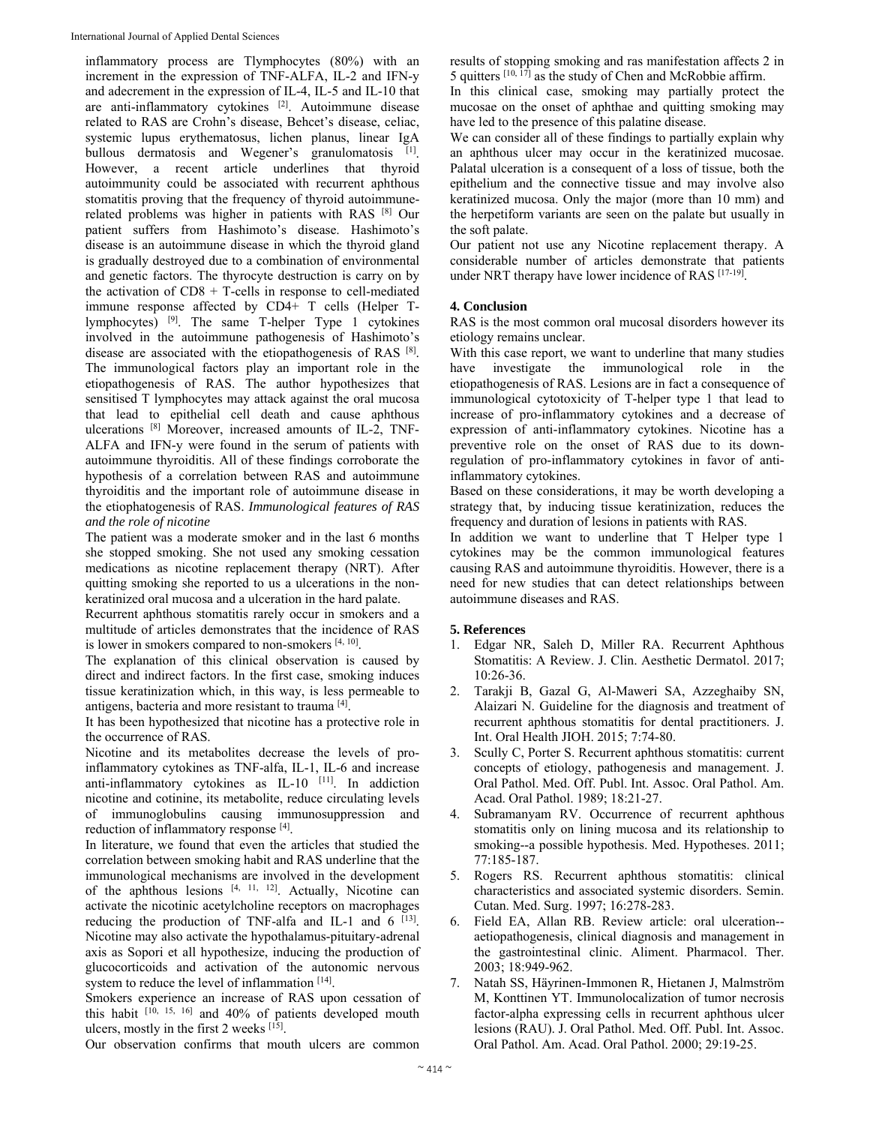inflammatory process are Tlymphocytes (80%) with an increment in the expression of TNF-ALFA, IL-2 and IFN-y and adecrement in the expression of IL-4, IL-5 and IL-10 that are anti-inflammatory cytokines [2]. Autoimmune disease related to RAS are Crohn's disease, Behcet's disease, celiac, systemic lupus erythematosus, lichen planus, linear IgA bullous dermatosis and Wegener's granulomatosis [1]. However, a recent article underlines that thyroid autoimmunity could be associated with recurrent aphthous stomatitis proving that the frequency of thyroid autoimmunerelated problems was higher in patients with RAS [8] Our patient suffers from Hashimoto's disease. Hashimoto's disease is an autoimmune disease in which the thyroid gland is gradually destroyed due to a combination of environmental and genetic factors. The thyrocyte destruction is carry on by the activation of CD8 + T-cells in response to cell-mediated immune response affected by CD4+ T cells (Helper Tlymphocytes) [9]. The same T-helper Type 1 cytokines involved in the autoimmune pathogenesis of Hashimoto's disease are associated with the etiopathogenesis of RAS [8]. The immunological factors play an important role in the etiopathogenesis of RAS. The author hypothesizes that sensitised T lymphocytes may attack against the oral mucosa that lead to epithelial cell death and cause aphthous ulcerations [8] Moreover, increased amounts of IL-2, TNF-ALFA and IFN-y were found in the serum of patients with autoimmune thyroiditis. All of these findings corroborate the hypothesis of a correlation between RAS and autoimmune thyroiditis and the important role of autoimmune disease in the etiophatogenesis of RAS. *Immunological features of RAS and the role of nicotine* 

The patient was a moderate smoker and in the last 6 months she stopped smoking. She not used any smoking cessation medications as nicotine replacement therapy (NRT). After quitting smoking she reported to us a ulcerations in the nonkeratinized oral mucosa and a ulceration in the hard palate.

Recurrent aphthous stomatitis rarely occur in smokers and a multitude of articles demonstrates that the incidence of RAS is lower in smokers compared to non-smokers  $[4, 10]$ .

The explanation of this clinical observation is caused by direct and indirect factors. In the first case, smoking induces tissue keratinization which, in this way, is less permeable to antigens, bacteria and more resistant to trauma [4].

It has been hypothesized that nicotine has a protective role in the occurrence of RAS.

Nicotine and its metabolites decrease the levels of proinflammatory cytokines as TNF-alfa, IL-1, IL-6 and increase anti-inflammatory cytokines as  $IL-10$ <sup>[11]</sup>. In addiction nicotine and cotinine, its metabolite, reduce circulating levels of immunoglobulins causing immunosuppression and reduction of inflammatory response [4].

In literature, we found that even the articles that studied the correlation between smoking habit and RAS underline that the immunological mechanisms are involved in the development of the aphthous lesions [4, 11, 12]. Actually, Nicotine can activate the nicotinic acetylcholine receptors on macrophages reducing the production of TNF-alfa and IL-1 and  $6$  [13]. Nicotine may also activate the hypothalamus-pituitary-adrenal axis as Sopori et all hypothesize, inducing the production of glucocorticoids and activation of the autonomic nervous system to reduce the level of inflammation [14].

Smokers experience an increase of RAS upon cessation of this habit  $[10, 15, 16]$  and 40% of patients developed mouth ulcers, mostly in the first 2 weeks  $[15]$ .

Our observation confirms that mouth ulcers are common

results of stopping smoking and ras manifestation affects 2 in 5 quitters  $[10, 17]$  as the study of Chen and McRobbie affirm.

In this clinical case, smoking may partially protect the mucosae on the onset of aphthae and quitting smoking may have led to the presence of this palatine disease.

We can consider all of these findings to partially explain why an aphthous ulcer may occur in the keratinized mucosae. Palatal ulceration is a consequent of a loss of tissue, both the epithelium and the connective tissue and may involve also keratinized mucosa. Only the major (more than 10 mm) and the herpetiform variants are seen on the palate but usually in the soft palate.

Our patient not use any Nicotine replacement therapy. A considerable number of articles demonstrate that patients under NRT therapy have lower incidence of RAS [17-19].

# **4. Conclusion**

RAS is the most common oral mucosal disorders however its etiology remains unclear.

With this case report, we want to underline that many studies have investigate the immunological role in the etiopathogenesis of RAS. Lesions are in fact a consequence of immunological cytotoxicity of T-helper type 1 that lead to increase of pro-inflammatory cytokines and a decrease of expression of anti-inflammatory cytokines. Nicotine has a preventive role on the onset of RAS due to its downregulation of pro-inflammatory cytokines in favor of antiinflammatory cytokines.

Based on these considerations, it may be worth developing a strategy that, by inducing tissue keratinization, reduces the frequency and duration of lesions in patients with RAS.

In addition we want to underline that T Helper type 1 cytokines may be the common immunological features causing RAS and autoimmune thyroiditis. However, there is a need for new studies that can detect relationships between autoimmune diseases and RAS.

### **5. References**

- 1. Edgar NR, Saleh D, Miller RA. Recurrent Aphthous Stomatitis: A Review. J. Clin. Aesthetic Dermatol. 2017; 10:26-36.
- 2. Tarakji B, Gazal G, Al-Maweri SA, Azzeghaiby SN, Alaizari N. Guideline for the diagnosis and treatment of recurrent aphthous stomatitis for dental practitioners. J. Int. Oral Health JIOH. 2015; 7:74-80.
- 3. Scully C, Porter S. Recurrent aphthous stomatitis: current concepts of etiology, pathogenesis and management. J. Oral Pathol. Med. Off. Publ. Int. Assoc. Oral Pathol. Am. Acad. Oral Pathol. 1989; 18:21-27.
- Subramanyam RV. Occurrence of recurrent aphthous stomatitis only on lining mucosa and its relationship to smoking--a possible hypothesis. Med. Hypotheses. 2011; 77:185-187.
- 5. Rogers RS. Recurrent aphthous stomatitis: clinical characteristics and associated systemic disorders. Semin. Cutan. Med. Surg. 1997; 16:278-283.
- 6. Field EA, Allan RB. Review article: oral ulceration- aetiopathogenesis, clinical diagnosis and management in the gastrointestinal clinic. Aliment. Pharmacol. Ther. 2003; 18:949-962.
- 7. Natah SS, Häyrinen-Immonen R, Hietanen J, Malmström M, Konttinen YT. Immunolocalization of tumor necrosis factor-alpha expressing cells in recurrent aphthous ulcer lesions (RAU). J. Oral Pathol. Med. Off. Publ. Int. Assoc. Oral Pathol. Am. Acad. Oral Pathol. 2000; 29:19-25.